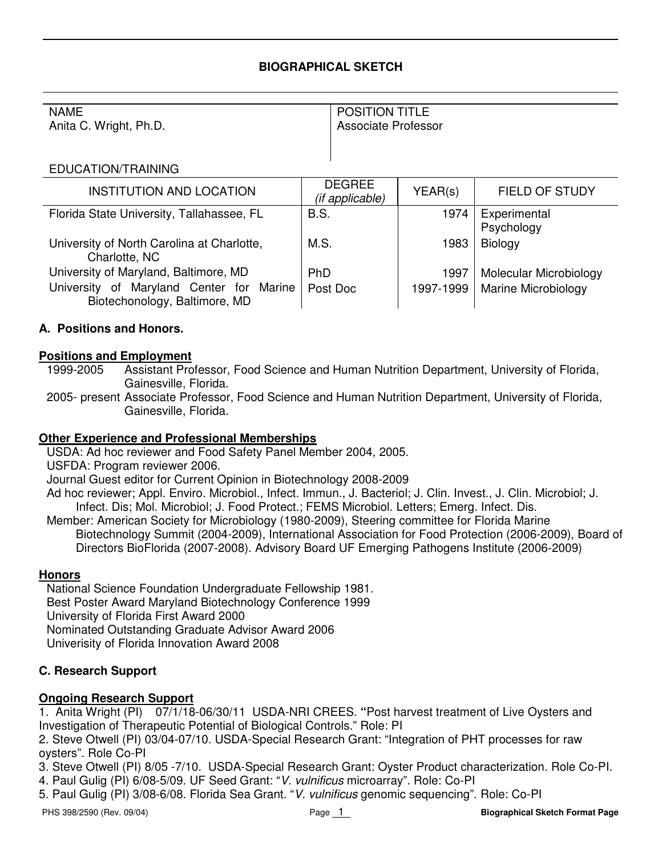#### **BIOGRAPHICAL SKETCH**

#### NAME

Anita C. Wright, Ph.D.

# POSITION TITLE

Associate Professor

#### EDUCATION/TRAINING

| <b>INSTITUTION AND LOCATION</b>                                           | <b>DEGREE</b><br>(if applicable) | YEAR(s)   | <b>FIELD OF STUDY</b>      |
|---------------------------------------------------------------------------|----------------------------------|-----------|----------------------------|
| Florida State University, Tallahassee, FL                                 | <b>B.S.</b>                      | 1974      | Experimental<br>Psychology |
| University of North Carolina at Charlotte,<br>Charlotte, NC               | M.S.                             | 1983      | Biology                    |
| University of Maryland, Baltimore, MD                                     | <b>PhD</b>                       | 1997      | Molecular Microbiology     |
| University of Maryland Center for Marine<br>Biotechonology, Baltimore, MD | Post Doc                         | 1997-1999 | <b>Marine Microbiology</b> |

## **A. Positions and Honors.**

#### **Positions and Employment**

- 1999-2005 Assistant Professor, Food Science and Human Nutrition Department, University of Florida, Gainesville, Florida.
- 2005- present Associate Professor, Food Science and Human Nutrition Department, University of Florida, Gainesville, Florida.

#### **Other Experience and Professional Memberships**

- USDA: Ad hoc reviewer and Food Safety Panel Member 2004, 2005.
- USFDA: Program reviewer 2006.

Journal Guest editor for Current Opinion in Biotechnology 2008-2009

- Ad hoc reviewer; Appl. Enviro. Microbiol., Infect. Immun., J. Bacteriol; J. Clin. Invest., J. Clin. Microbiol; J. Infect. Dis; Mol. Microbiol; J. Food Protect.; FEMS Microbiol. Letters; Emerg. Infect. Dis.
- Member: American Society for Microbiology (1980-2009), Steering committee for Florida Marine Biotechnology Summit (2004-2009), International Association for Food Protection (2006-2009), Board of Directors BioFlorida (2007-2008). Advisory Board UF Emerging Pathogens Institute (2006-2009)

#### **Honors**

National Science Foundation Undergraduate Fellowship 1981. Best Poster Award Maryland Biotechnology Conference 1999 University of Florida First Award 2000 Nominated Outstanding Graduate Advisor Award 2006 Univerisity of Florida Innovation Award 2008

#### **C. Research Support**

#### **Ongoing Research Support**

1. Anita Wright (PI) 07/1/18-06/30/11 USDA-NRI CREES. **"**Post harvest treatment of Live Oysters and Investigation of Therapeutic Potential of Biological Controls." Role: PI

2. Steve Otwell (PI) 03/04-07/10. USDA-Special Research Grant: "Integration of PHT processes for raw oysters". Role Co-PI

3. Steve Otwell (PI) 8/05 -7/10. USDA-Special Research Grant: Oyster Product characterization. Role Co-PI. 4. Paul Gulig (PI) 6/08-5/09. UF Seed Grant: "V. vulnificus microarray". Role: Co-PI

5. Paul Gulig (PI) 3/08-6/08. Florida Sea Grant. "V. vulnificus genomic sequencing". Role: Co-PI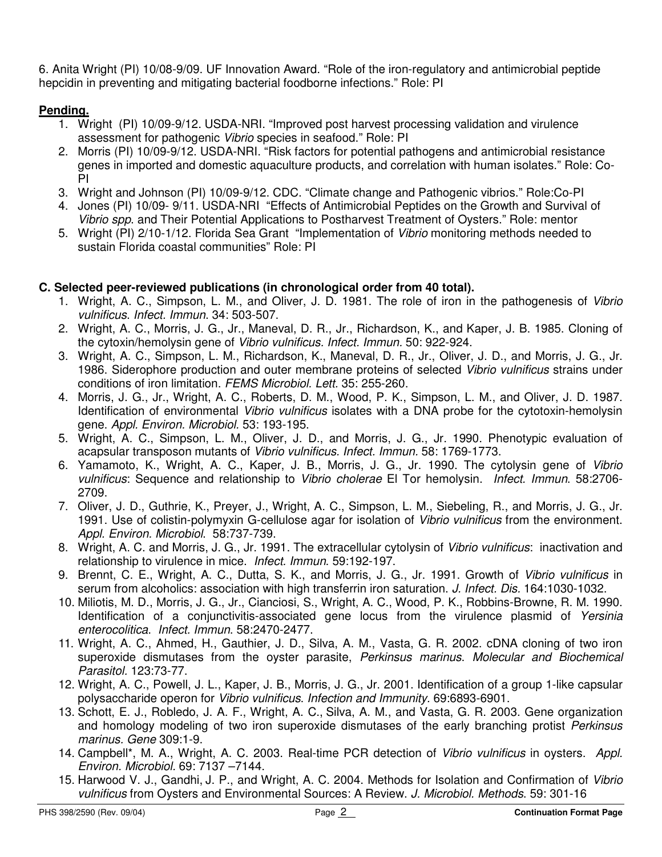6. Anita Wright (PI) 10/08-9/09. UF Innovation Award. "Role of the iron-regulatory and antimicrobial peptide hepcidin in preventing and mitigating bacterial foodborne infections." Role: PI

### **Pending.**

- 1. Wright (PI) 10/09-9/12. USDA-NRI. "Improved post harvest processing validation and virulence assessment for pathogenic Vibrio species in seafood." Role: PI
- 2. Morris (PI) 10/09-9/12. USDA-NRI. "Risk factors for potential pathogens and antimicrobial resistance genes in imported and domestic aquaculture products, and correlation with human isolates." Role: Co-PI
- 3. Wright and Johnson (PI) 10/09-9/12. CDC. "Climate change and Pathogenic vibrios." Role:Co-PI
- 4. Jones (PI) 10/09- 9/11. USDA-NRI "Effects of Antimicrobial Peptides on the Growth and Survival of Vibrio spp. and Their Potential Applications to Postharvest Treatment of Oysters." Role: mentor
- 5. Wright (PI) 2/10-1/12. Florida Sea Grant "Implementation of Vibrio monitoring methods needed to sustain Florida coastal communities" Role: PI

## **C. Selected peer-reviewed publications (in chronological order from 40 total).**

- 1. Wright, A. C., Simpson, L. M., and Oliver, J. D. 1981. The role of iron in the pathogenesis of Vibrio vulnificus. Infect. Immun. 34: 503-507.
- 2. Wright, A. C., Morris, J. G., Jr., Maneval, D. R., Jr., Richardson, K., and Kaper, J. B. 1985. Cloning of the cytoxin/hemolysin gene of Vibrio vulnificus. Infect. Immun. 50: 922-924.
- 3. Wright, A. C., Simpson, L. M., Richardson, K., Maneval, D. R., Jr., Oliver, J. D., and Morris, J. G., Jr. 1986. Siderophore production and outer membrane proteins of selected Vibrio vulnificus strains under conditions of iron limitation. FEMS Microbiol. Lett. 35: 255-260.
- 4. Morris, J. G., Jr., Wright, A. C., Roberts, D. M., Wood, P. K., Simpson, L. M., and Oliver, J. D. 1987. Identification of environmental Vibrio vulnificus isolates with a DNA probe for the cytotoxin-hemolysin gene. Appl. Environ. Microbiol. 53: 193-195.
- 5. Wright, A. C., Simpson, L. M., Oliver, J. D., and Morris, J. G., Jr. 1990. Phenotypic evaluation of acapsular transposon mutants of Vibrio vulnificus. Infect. Immun. 58: 1769-1773.
- 6. Yamamoto, K., Wright, A. C., Kaper, J. B., Morris, J. G., Jr. 1990. The cytolysin gene of Vibrio vulnificus: Sequence and relationship to Vibrio cholerae El Tor hemolysin. Infect. Immun. 58:2706- 2709.
- 7. Oliver, J. D., Guthrie, K., Preyer, J., Wright, A. C., Simpson, L. M., Siebeling, R., and Morris, J. G., Jr. 1991. Use of colistin-polymyxin G-cellulose agar for isolation of *Vibrio vulnificus* from the environment. Appl. Environ. Microbiol. 58:737-739.
- 8. Wright, A. C. and Morris, J. G., Jr. 1991. The extracellular cytolysin of Vibrio vulnificus: inactivation and relationship to virulence in mice. Infect. Immun. 59:192-197.
- 9. Brennt, C. E., Wright, A. C., Dutta, S. K., and Morris, J. G., Jr. 1991. Growth of Vibrio vulnificus in serum from alcoholics: association with high transferrin iron saturation. J. Infect. Dis. 164:1030-1032.
- 10. Miliotis, M. D., Morris, J. G., Jr., Cianciosi, S., Wright, A. C., Wood, P. K., Robbins-Browne, R. M. 1990. Identification of a conjunctivitis-associated gene locus from the virulence plasmid of Yersinia enterocolitica. Infect. Immun. 58:2470-2477.
- 11. Wright, A. C., Ahmed, H., Gauthier, J. D., Silva, A. M., Vasta, G. R. 2002. cDNA cloning of two iron superoxide dismutases from the oyster parasite, Perkinsus marinus. Molecular and Biochemical Parasitol. 123:73-77.
- 12. Wright, A. C., Powell, J. L., Kaper, J. B., Morris, J. G., Jr. 2001. Identification of a group 1-like capsular polysaccharide operon for Vibrio vulnificus. Infection and Immunity. 69:6893-6901.
- 13. Schott, E. J., Robledo, J. A. F., Wright, A. C., Silva, A. M., and Vasta, G. R. 2003. Gene organization and homology modeling of two iron superoxide dismutases of the early branching protist Perkinsus marinus. Gene 309:1-9.
- 14. Campbell\*, M. A., Wright, A. C. 2003. Real-time PCR detection of Vibrio vulnificus in oysters. Appl. Environ. Microbiol. 69: 7137 –7144.
- 15. Harwood V. J., Gandhi, J. P., and Wright, A. C. 2004. Methods for Isolation and Confirmation of Vibrio vulnificus from Oysters and Environmental Sources: A Review. J. Microbiol. Methods. 59: 301-16